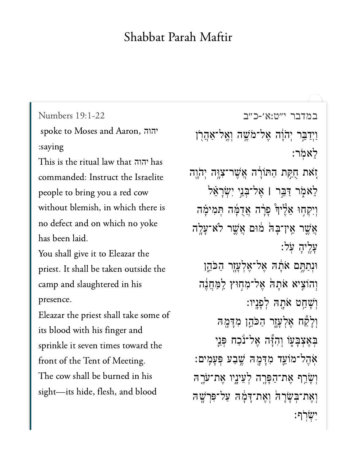## Shabbat Parah Maftir

[במדבר י״ט:א׳-כ״ב](https://www.sefaria.org/Numbers%2019:1-22) [19:1-22 Numbers](https://www.sefaria.org/Numbers%2019:1-22) spoke to Moses and Aaron, יהוה :saying This is the ritual law that יהוה<mark>)</mark> has commanded: Instruct the Israelite people to bring you a red cow without blemish, in which there is no defect and on which no yoke has been laid. You shall give it to Eleazar the priest. It shall be taken outside the camp and slaughtered in his presence. Eleazar the priest shall take some of its blood with his finger and sprinkle it seven times toward the front of the Tent of Meeting. The cow shall be burned in his sight—its hide, flesh, and blood

וַיִדַּבֵּר יְהֹוָ֫ה אֱל־מֹשֵׁה וְאֱל־אַהֲרְן לֵאמֹר: יָזֹאת חֻקַּת הַתּוֹרָה אֲשֶׁר־צְוֶה יְהֹוֶה לֵאמֶׂר דַּבֵּר | אֶל־בִּנֵי יִשְׂרָאֵ<sup>ּ</sup>ל וִיִּקְחָוּ אֵלֵּיךְ פָרָה אֲדֻמָּׁה תִּמִימָּה אֲשֶׁר אֱין־בָּה מּוּם אֲשֵׁר לֹא־עָלֶה ַעֲלֵיהָ עֹל: וּנִתַּחֵם אֹתָה אֶל־אֶלְעְזֶר הַכֹּהֶן וְהוֹצֵיא אֹתַה <sup>יָ</sup>אֵל־מְחִוּץ לַמַּחֲנֶה וְשַׁחֲט אֹתָה לְפַּנֵיו: וְלַקָּה אֱלְעֲזֶר הַכֹּהֱן מְדַמָּה בְּאֶצְּבָעָוֹ וְהִיָּٓה אֶל־נֹכַח פְּנֵי ֹאֹהֶל־מֹוֹעֵד מְדַמָּה שֵׁבַע פְּעַמֵים: וְשָׂרֵף אֶת־הַפָּרֶה לְעֵינֵיו אֶת־עֹרֶהּ וְאֶת־בְּשָׂרָה וְאֱת־דָּמָ*ֶּה עַל־פְּרָ*שָׁה :ישׂרׂף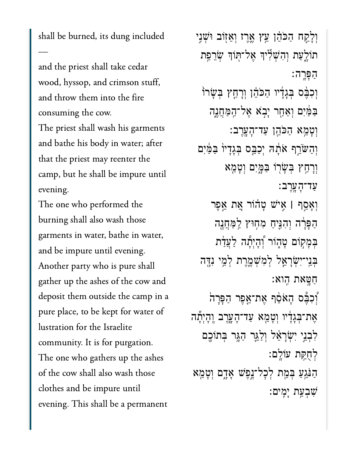shall be burned, its dung included

—

and the priest shall take cedar wood, hyssop, and crimson stuff, and throw them into the fire consuming the cow. The priest shall wash his garments and bathe his body in water; after that the priest may reenter the camp, but he shall be impure until evening.

The one who performed the burning shall also wash those garments in water, bathe in water, and be impure until evening. Another party who is pure shall gather up the ashes of the cow and deposit them outside the camp in a pure place, to be kept for water of lustration for the Israelite community. It is for purgation. The one who gathers up the ashes of the cow shall also wash those clothes and be impure until evening. This shall be a permanent

וְלָקַח הַכֹּהֵ֫ן עֵיץ אֱרֵז וְאֵזוֹב וּשָׁנִי תוֹלָעַת וְהִשִׁלְּי<sub>ּ</sub>ךְ אֲל־תִּוֹךְ שִׂרֲפֵת ַהָּפָֽרה׃ וְכִבֶּ֫ס בְּגָדָ֫יו הַכֹּהֵ֫ן וְרָחֲץ בִּשָׂרוֹ ַּבַּמַּ֫יִם וְאַחָר יָבְא אֶל־הַמַּחֲנֶה ְוָטֵ֥מא ַהֹּכֵ֖הן ַעד־ָהָֽעֶרב׃ וְהַשֹּׂרֵף אֹתָה יְכַבֵּס בְּגָדָיוֹ בַּמַּ֫יִם ְוָרַ֥חץ ְּבָׂש֖רֹו ַּבָּ֑מִים ְוָטֵ֖מא ַעד־ָהָֽעֶרב׃ ְוָאַ֣סף **׀** ִ֣איׁש ָט֗הֹור ֵ֚את ֵ֣אֶפר הַפָּרָה וְהִגְּיִחַ מִחְוּץ לַמַּחֲנֶה בִּמָקוֹם טָהָוֹר יְ<sup>וָ</sup>הָיִתָּה לַעֲדַת ְּבֵֽני־ִיְׂשָרֵ֧אל ְלִמְׁשֶ֛מֶרת ְלֵ֥מי ִנָּ֖דה ַחָּ֥טאת ִֽהוא׃ ֿוְכִבָּٰ֫ם הָאֹסֵ֫ף אֶת־אֱפֶר הַפָּרָה אֶת־בִּגָדִיו וְטָמֵא עַד־הָעֲרֵב וְהָיִתָ*ּ*ה לְבָנֵי יִשְׂרַאֵ*ּׁל וְלַ*גֵּר הַגָּר בְּתוֹכֶם ְלֻחַּ֥קת עֹוָֽלם׃ ַהַּנֵּגְעַ בְּמֵת לְכָל־יֶנֶפָּשׁ אָדֶם וְטָמֵא ִׁשְבַ֥עת ָיִֽמים׃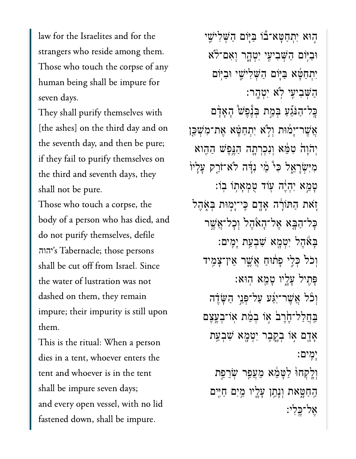law for the Israelites and for the strangers who reside among them. Those who touch the corpse of any human being shall be impure for seven days.

They shall purify themselves with [the ashes] on the third day and on the seventh day, and then be pure; if they fail to purify themselves on the third and seventh days, they shall not be pure.

Those who touch a corpse, the body of a person who has died, and do not purify themselves, defile יהוה's Tabernacle; those persons shall be cut off from Israel. Since the water of lustration was not dashed on them, they remain impure; their impurity is still upon them.

This is the ritual: When a person dies in a tent, whoever enters the tent and whoever is in the tent shall be impure seven days; and every open vessel, with no lid fastened down, shall be impure.

֣הּוא ִיְתַחָּטא־֞בֹו ַּבּ֧יֹום ַהְּׁשִליִׁ֛שי וּבִיּׂוֹם הַשָּׁבִיעֵי יִטְהָר וְאָם־לֹא ִיְתַחָּ֜טא ַּבּ֧יֹום ַהְּׁשִליִׁ֛שי ּוַבּ֥יֹום ָהְשָׁבְיעֵי לֹא יְטָהֵר: ּבֶל־הַנֹּגֵעַ בְּמֵת בְּנֶּפָּשׁ הָאָדָם ְאֲשֶׁר־יָמוּת וְלֹא יְתִחַטָּא אֶת־מְ*יֹ*שְׁכֵּן יְהֹוַהֹ טִמֶּא וְנִכְרְתֵה הַגֲפָשׁ הַהֵוא מִיִּּשְׂרָאֱל כִּי ּמִי נִדָּה לֹא־זֹרֵק עַלַיוֹ ַּטְמֵא יְהָיֶה עִוֹד טְמְאָתְוֹ בְוֹ: ֹ֚זאת ַהּתֹוָ֔רה ָאָ֖דם ִּֽכי־ָי֣מּות ְּבֹ֑אֶהל ּכָל־הַבָּא אֵל־הָאָהֵל וְכָל־אֲשֵׁר ָּבָאֶהל יִטְמָא שְׁבְעַת יַמֶּים: וְכֹל כְּלֵי פַתוּחַ אֲשֶׁר אֱין־צַמֶּיד ָּפִ֖תיל ָעָ֑ליו ָטֵ֖מא ֽהּוא׃ וְכֹּל אֲשֶׁר־יָגגע על־פָּנֵי הִשֶּׂדֶה ַבְּחֲלַל־חֶׂרֶבׂ אִו בְמֶת אִוֹ־בְעֱצֶם אָדָם אִוֹ בְקֶבֵר יִטְמָא שָׁבִעַת ָיִֽמים׃ וְלֵקְחוּ לַטַּמֶּא מֶעֲפָר שָׂרֵפֵת ַּהַחַטָּאת וְנָתַן עָלֵיו מֵיִם חַיִּים ָאל־כּלי: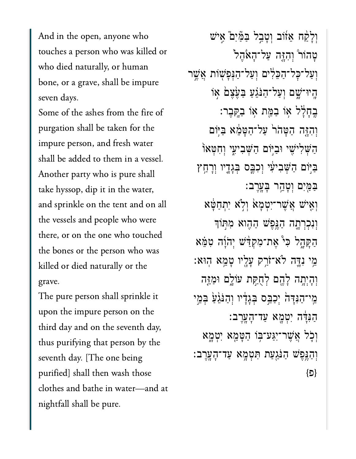And in the open, anyone who touches a person who was killed or who died naturally, or human bone, or a grave, shall be impure seven days.

Some of the ashes from the fire of purgation shall be taken for the impure person, and fresh water shall be added to them in a vessel. Another party who is pure shall take hyssop, dip it in the water, and sprinkle on the tent and on all the vessels and people who were there, or on the one who touched the bones or the person who was killed or died naturally or the grave.

The pure person shall sprinkle it upon the impure person on the third day and on the seventh day, thus purifying that person by the seventh day. [The one being purified] shall then wash those clothes and bathe in water—and at nightfall shall be pure.

וִלָ<sup>ּ</sup>קַח אֵזֹוֹב וְטָבְל בַּמַּיִם אֵישׁ ָטֲהוֹר וְהָזֶּה עַל־הָאֹהֶל וְעַל־כָּל־הַכֵּלְיִם וְעַל־הַגְּפָּשָׁוֹת אֲשֵׁר ָֽהיּו־ָׁ֑שם ְוַעל־ַהֹּנֵ֗גַע ַּבֶ֙עֶצ֙ם ֣אֹו ֶּבְחָלָל אִו בַמֵּת אוֹ בַקָּבֵר: וְהָזֵּה הַטָּהֹר עַל־הַטָּמֶא בַּיִּוֹם הַשִּׁלִיּשִׁי וּבַיּוֹם הַשִּׁבִיעִי וְחִטְּאוֹ ַבִּיִּּוֹם הַשָּׁבִיעִי וְכָבֶּס בְּגְָדֶיו וְרָחָץ ַּבַּמֵּיִם וְטָהֶר בָעֲרֵב: ְוִ֤איׁש ֲאֶׁשר־ִיְטָמ֙א ְוֹ֣לא ִיְתַחָּ֔טא וְנִכְרְתֵ**ּה הַנֵּפֵ<sup>ּ</sup>שׁ הַהֵוא מִתְּוֹ**ךָ הַקָּהָל כִּיْ אֵת־מִקְדַּ֖יֹשׁ יְהֹוָ֫ה ִטְמֵּא ֵ֥מי ִנָּ֛דה ֹלא־ֹזַ֥רק ָעָ֖ליו ָטֵ֥מא ֽהּוא׃ וְהָיְתָה לָהֵם לְחָקַת עֹוֹלֵם וּמַזֶּה ְמֵי־הַנְּדָּהֹ יִכָבֵּם בְּגַדָּיו וְהַנֹּגָעַ בִּמֵי ַהִּנָּ֔דה ִיְטָ֖מא ַעד־ָהָֽעֶרב׃ ְוֹ֛כל ֲאֶׁשר־ִיַּגע־ּ֥בֹו ַהָּטֵ֖מא ִיְטָ֑מא  $\,$ וְהַנֵּפֵּשׁ הַנֹּגַעַת תִּטְמֶא עַד־הָעֲרֶב  $\{\Box\}$